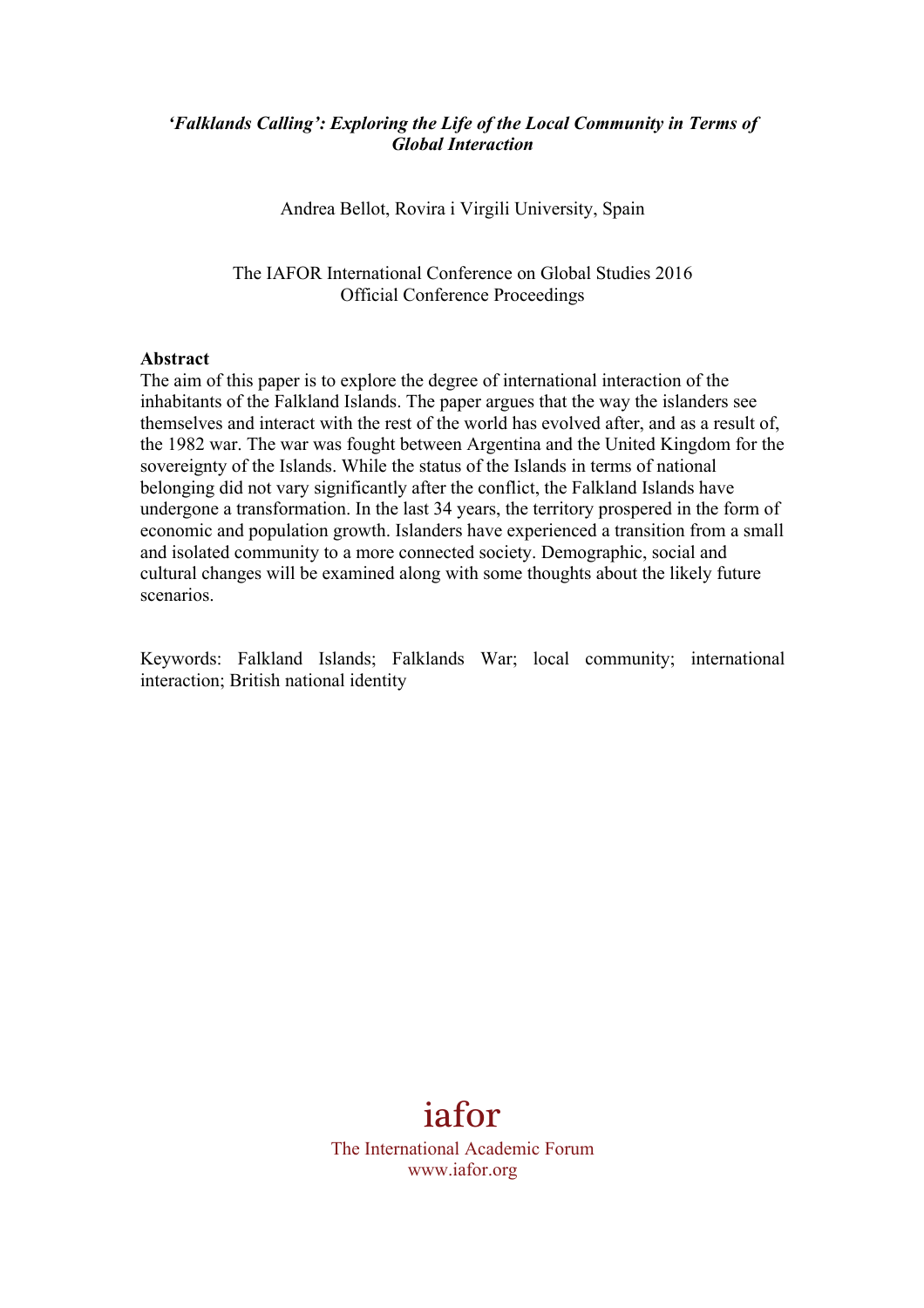## *'Falklands Calling': Exploring the Life of the Local Community in Terms of Global Interaction*

Andrea Bellot, Rovira i Virgili University, Spain

The IAFOR International Conference on Global Studies 2016 Official Conference Proceedings

### **Abstract**

The aim of this paper is to explore the degree of international interaction of the inhabitants of the Falkland Islands. The paper argues that the way the islanders see themselves and interact with the rest of the world has evolved after, and as a result of, the 1982 war. The war was fought between Argentina and the United Kingdom for the sovereignty of the Islands. While the status of the Islands in terms of national belonging did not vary significantly after the conflict, the Falkland Islands have undergone a transformation. In the last 34 years, the territory prospered in the form of economic and population growth. Islanders have experienced a transition from a small and isolated community to a more connected society. Demographic, social and cultural changes will be examined along with some thoughts about the likely future scenarios.

Keywords: Falkland Islands; Falklands War; local community; international interaction; British national identity

# iafor

The International Academic Forum www.iafor.org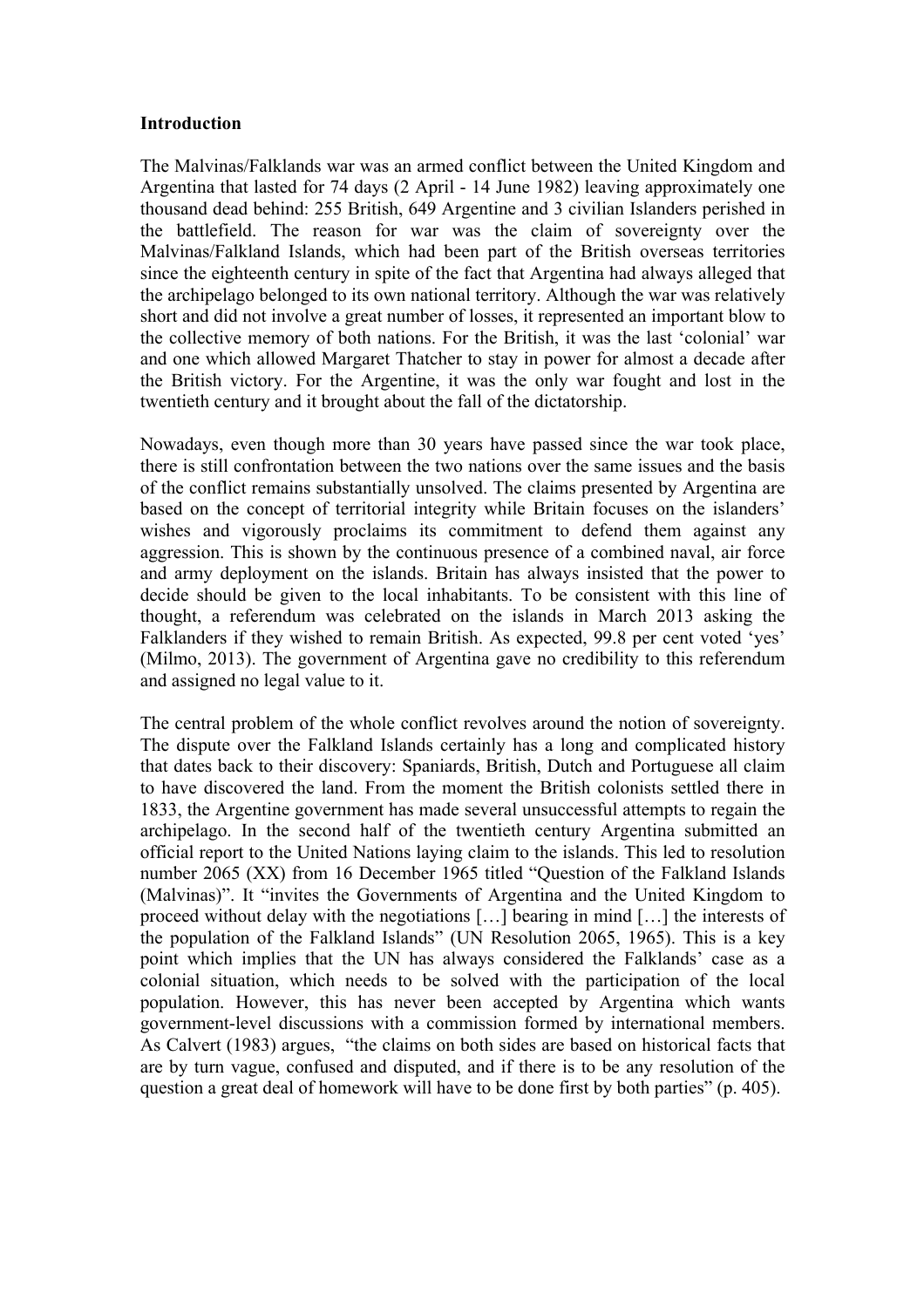### **Introduction**

The Malvinas/Falklands war was an armed conflict between the United Kingdom and Argentina that lasted for 74 days (2 April - 14 June 1982) leaving approximately one thousand dead behind: 255 British, 649 Argentine and 3 civilian Islanders perished in the battlefield. The reason for war was the claim of sovereignty over the Malvinas/Falkland Islands, which had been part of the British overseas territories since the eighteenth century in spite of the fact that Argentina had always alleged that the archipelago belonged to its own national territory. Although the war was relatively short and did not involve a great number of losses, it represented an important blow to the collective memory of both nations. For the British, it was the last 'colonial' war and one which allowed Margaret Thatcher to stay in power for almost a decade after the British victory. For the Argentine, it was the only war fought and lost in the twentieth century and it brought about the fall of the dictatorship.

Nowadays, even though more than 30 years have passed since the war took place, there is still confrontation between the two nations over the same issues and the basis of the conflict remains substantially unsolved. The claims presented by Argentina are based on the concept of territorial integrity while Britain focuses on the islanders' wishes and vigorously proclaims its commitment to defend them against any aggression. This is shown by the continuous presence of a combined naval, air force and army deployment on the islands. Britain has always insisted that the power to decide should be given to the local inhabitants. To be consistent with this line of thought, a referendum was celebrated on the islands in March 2013 asking the Falklanders if they wished to remain British. As expected, 99.8 per cent voted 'yes' (Milmo, 2013). The government of Argentina gave no credibility to this referendum and assigned no legal value to it.

The central problem of the whole conflict revolves around the notion of sovereignty. The dispute over the Falkland Islands certainly has a long and complicated history that dates back to their discovery: Spaniards, British, Dutch and Portuguese all claim to have discovered the land. From the moment the British colonists settled there in 1833, the Argentine government has made several unsuccessful attempts to regain the archipelago. In the second half of the twentieth century Argentina submitted an official report to the United Nations laying claim to the islands. This led to resolution number 2065 (XX) from 16 December 1965 titled "Question of the Falkland Islands (Malvinas)". It "invites the Governments of Argentina and the United Kingdom to proceed without delay with the negotiations […] bearing in mind […] the interests of the population of the Falkland Islands" (UN Resolution 2065, 1965). This is a key point which implies that the UN has always considered the Falklands' case as a colonial situation, which needs to be solved with the participation of the local population. However, this has never been accepted by Argentina which wants government-level discussions with a commission formed by international members. As Calvert (1983) argues, "the claims on both sides are based on historical facts that are by turn vague, confused and disputed, and if there is to be any resolution of the question a great deal of homework will have to be done first by both parties" (p. 405).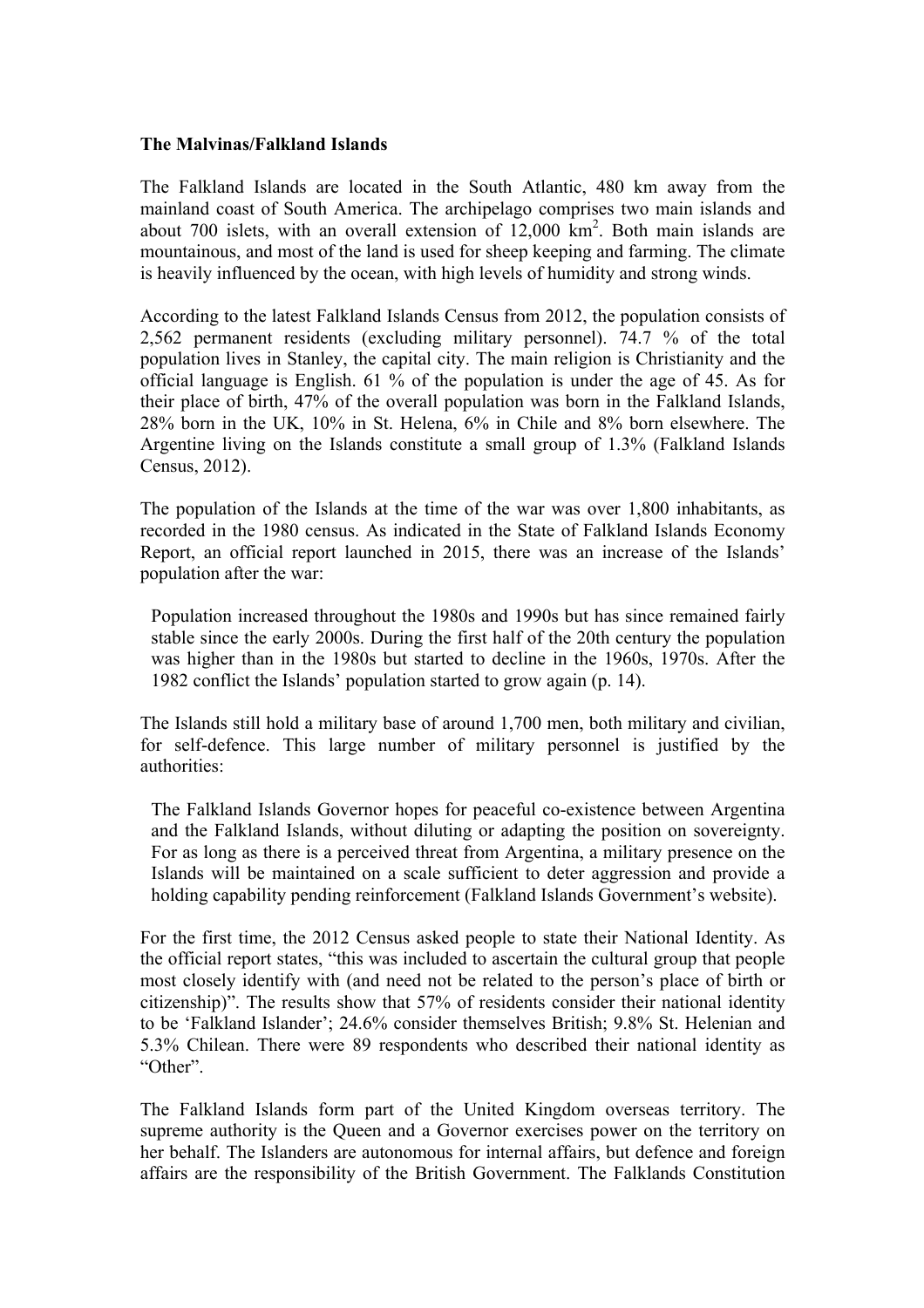#### **The Malvinas/Falkland Islands**

The Falkland Islands are located in the South Atlantic, 480 km away from the mainland coast of South America. The archipelago comprises two main islands and about 700 islets, with an overall extension of  $12,000 \text{ km}^2$ . Both main islands are mountainous, and most of the land is used for sheep keeping and farming. The climate is heavily influenced by the ocean, with high levels of humidity and strong winds.

According to the latest Falkland Islands Census from 2012, the population consists of 2,562 permanent residents (excluding military personnel). 74.7 % of the total population lives in Stanley, the capital city. The main religion is Christianity and the official language is English. 61 % of the population is under the age of 45. As for their place of birth, 47% of the overall population was born in the Falkland Islands, 28% born in the UK, 10% in St. Helena, 6% in Chile and 8% born elsewhere. The Argentine living on the Islands constitute a small group of 1.3% (Falkland Islands Census, 2012).

The population of the Islands at the time of the war was over 1,800 inhabitants, as recorded in the 1980 census. As indicated in the State of Falkland Islands Economy Report, an official report launched in 2015, there was an increase of the Islands' population after the war:

Population increased throughout the 1980s and 1990s but has since remained fairly stable since the early 2000s. During the first half of the 20th century the population was higher than in the 1980s but started to decline in the 1960s, 1970s. After the 1982 conflict the Islands' population started to grow again (p. 14).

The Islands still hold a military base of around 1,700 men, both military and civilian, for self-defence. This large number of military personnel is justified by the authorities:

The Falkland Islands Governor hopes for peaceful co-existence between Argentina and the Falkland Islands, without diluting or adapting the position on sovereignty. For as long as there is a perceived threat from Argentina, a military presence on the Islands will be maintained on a scale sufficient to deter aggression and provide a holding capability pending reinforcement (Falkland Islands Government's website).

For the first time, the 2012 Census asked people to state their National Identity. As the official report states, "this was included to ascertain the cultural group that people most closely identify with (and need not be related to the person's place of birth or citizenship)". The results show that 57% of residents consider their national identity to be 'Falkland Islander'; 24.6% consider themselves British; 9.8% St. Helenian and 5.3% Chilean. There were 89 respondents who described their national identity as "Other".

The Falkland Islands form part of the United Kingdom overseas territory. The supreme authority is the Queen and a Governor exercises power on the territory on her behalf. The Islanders are autonomous for internal affairs, but defence and foreign affairs are the responsibility of the British Government. The Falklands Constitution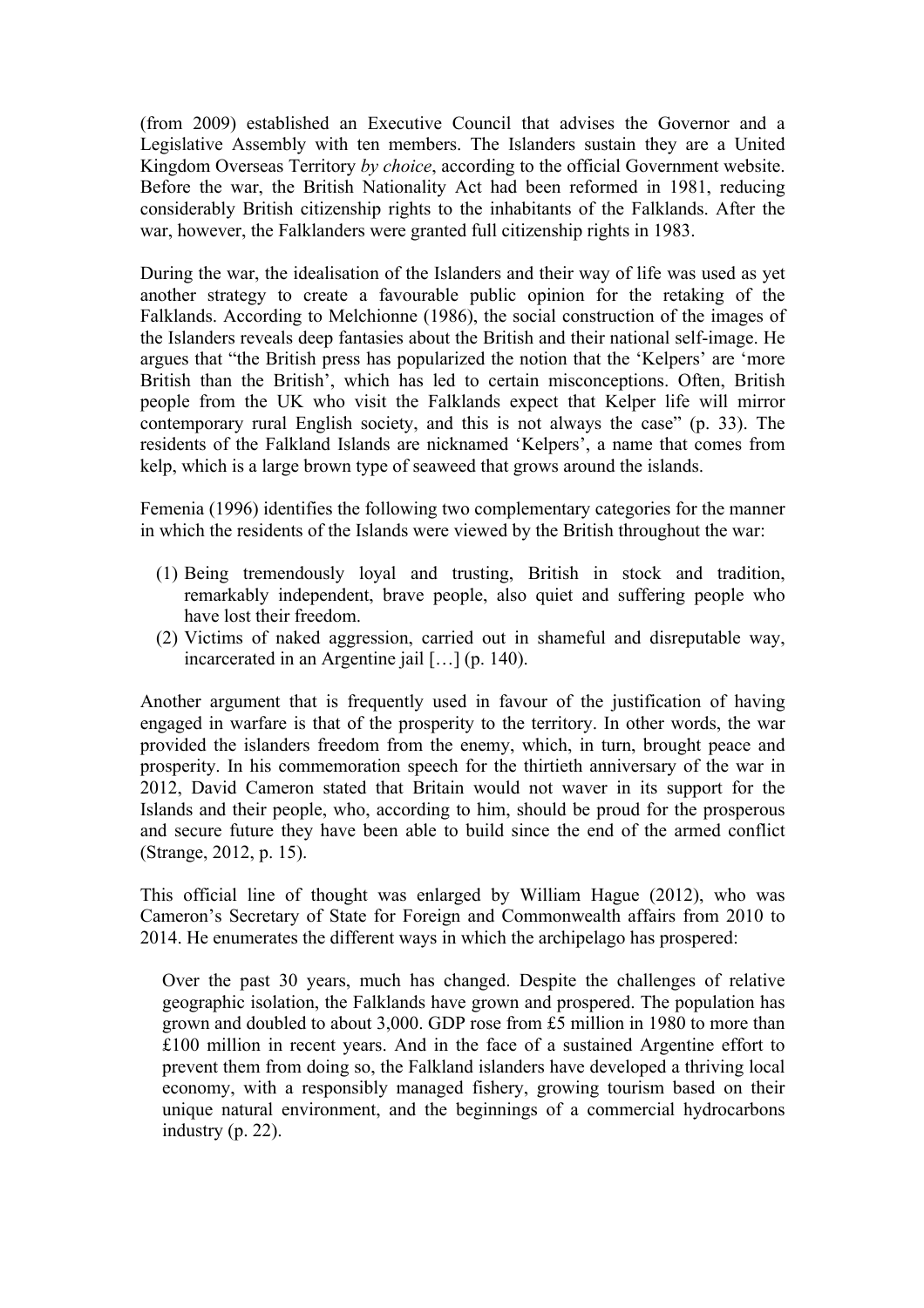(from 2009) established an Executive Council that advises the Governor and a Legislative Assembly with ten members. The Islanders sustain they are a United Kingdom Overseas Territory *by choice*, according to the official Government website. Before the war, the British Nationality Act had been reformed in 1981, reducing considerably British citizenship rights to the inhabitants of the Falklands. After the war, however, the Falklanders were granted full citizenship rights in 1983.

During the war, the idealisation of the Islanders and their way of life was used as yet another strategy to create a favourable public opinion for the retaking of the Falklands. According to Melchionne (1986), the social construction of the images of the Islanders reveals deep fantasies about the British and their national self-image. He argues that "the British press has popularized the notion that the 'Kelpers' are 'more British than the British', which has led to certain misconceptions. Often, British people from the UK who visit the Falklands expect that Kelper life will mirror contemporary rural English society, and this is not always the case" (p. 33). The residents of the Falkland Islands are nicknamed 'Kelpers', a name that comes from kelp, which is a large brown type of seaweed that grows around the islands.

Femenia (1996) identifies the following two complementary categories for the manner in which the residents of the Islands were viewed by the British throughout the war:

- (1) Being tremendously loyal and trusting, British in stock and tradition, remarkably independent, brave people, also quiet and suffering people who have lost their freedom.
- (2) Victims of naked aggression, carried out in shameful and disreputable way, incarcerated in an Argentine jail […] (p. 140).

Another argument that is frequently used in favour of the justification of having engaged in warfare is that of the prosperity to the territory. In other words, the war provided the islanders freedom from the enemy, which, in turn, brought peace and prosperity. In his commemoration speech for the thirtieth anniversary of the war in 2012, David Cameron stated that Britain would not waver in its support for the Islands and their people, who, according to him, should be proud for the prosperous and secure future they have been able to build since the end of the armed conflict (Strange, 2012, p. 15).

This official line of thought was enlarged by William Hague (2012), who was Cameron's Secretary of State for Foreign and Commonwealth affairs from 2010 to 2014. He enumerates the different ways in which the archipelago has prospered:

Over the past 30 years, much has changed. Despite the challenges of relative geographic isolation, the Falklands have grown and prospered. The population has grown and doubled to about 3,000. GDP rose from £5 million in 1980 to more than £100 million in recent years. And in the face of a sustained Argentine effort to prevent them from doing so, the Falkland islanders have developed a thriving local economy, with a responsibly managed fishery, growing tourism based on their unique natural environment, and the beginnings of a commercial hydrocarbons industry (p. 22).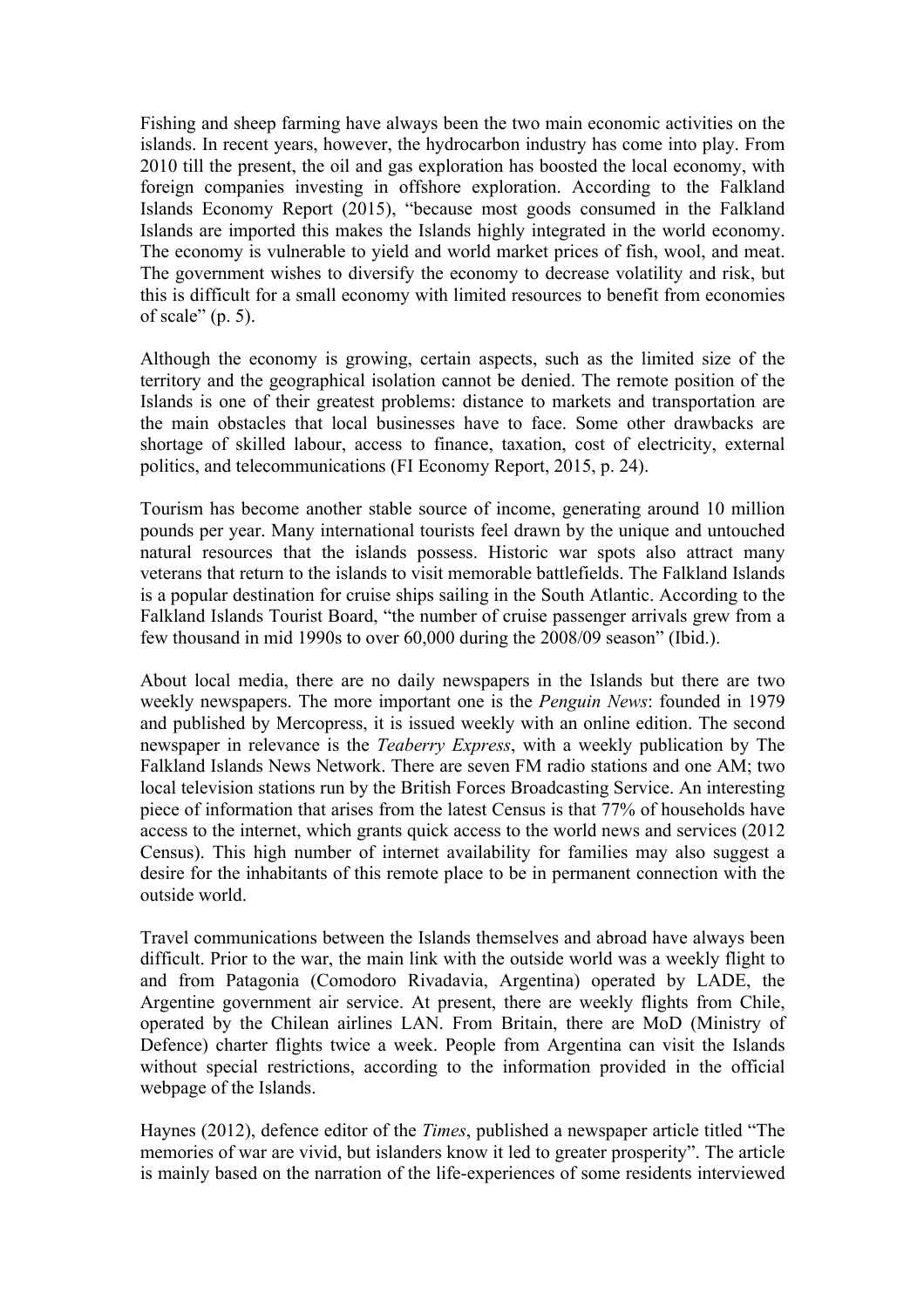Fishing and sheep farming have always been the two main economic activities on the islands. In recent years, however, the hydrocarbon industry has come into play. From 2010 till the present, the oil and gas exploration has boosted the local economy, with foreign companies investing in offshore exploration. According to the Falkland Islands Economy Report (2015), "because most goods consumed in the Falkland Islands are imported this makes the Islands highly integrated in the world economy. The economy is vulnerable to yield and world market prices of fish, wool, and meat. The government wishes to diversify the economy to decrease volatility and risk, but this is difficult for a small economy with limited resources to benefit from economies of scale" (p. 5).

Although the economy is growing, certain aspects, such as the limited size of the territory and the geographical isolation cannot be denied. The remote position of the Islands is one of their greatest problems: distance to markets and transportation are the main obstacles that local businesses have to face. Some other drawbacks are shortage of skilled labour, access to finance, taxation, cost of electricity, external politics, and telecommunications (FI Economy Report, 2015, p. 24).

Tourism has become another stable source of income, generating around 10 million pounds per year. Many international tourists feel drawn by the unique and untouched natural resources that the islands possess. Historic war spots also attract many veterans that return to the islands to visit memorable battlefields. The Falkland Islands is a popular destination for cruise ships sailing in the South Atlantic. According to the Falkland Islands Tourist Board, "the number of cruise passenger arrivals grew from a few thousand in mid 1990s to over 60,000 during the 2008/09 season" (Ibid.).

About local media, there are no daily newspapers in the Islands but there are two weekly newspapers. The more important one is the *Penguin News*: founded in 1979 and published by Mercopress, it is issued weekly with an online edition. The second newspaper in relevance is the *Teaberry Express*, with a weekly publication by The Falkland Islands News Network. There are seven FM radio stations and one AM; two local television stations run by the British Forces Broadcasting Service. An interesting piece of information that arises from the latest Census is that 77% of households have access to the internet, which grants quick access to the world news and services (2012 Census). This high number of internet availability for families may also suggest a desire for the inhabitants of this remote place to be in permanent connection with the outside world.

Travel communications between the Islands themselves and abroad have always been difficult. Prior to the war, the main link with the outside world was a weekly flight to and from Patagonia (Comodoro Rivadavia, Argentina) operated by LADE, the Argentine government air service. At present, there are weekly flights from Chile, operated by the Chilean airlines LAN. From Britain, there are MoD (Ministry of Defence) charter flights twice a week. People from Argentina can visit the Islands without special restrictions, according to the information provided in the official webpage of the Islands.

Haynes (2012), defence editor of the *Times*, published a newspaper article titled "The memories of war are vivid, but islanders know it led to greater prosperity". The article is mainly based on the narration of the life-experiences of some residents interviewed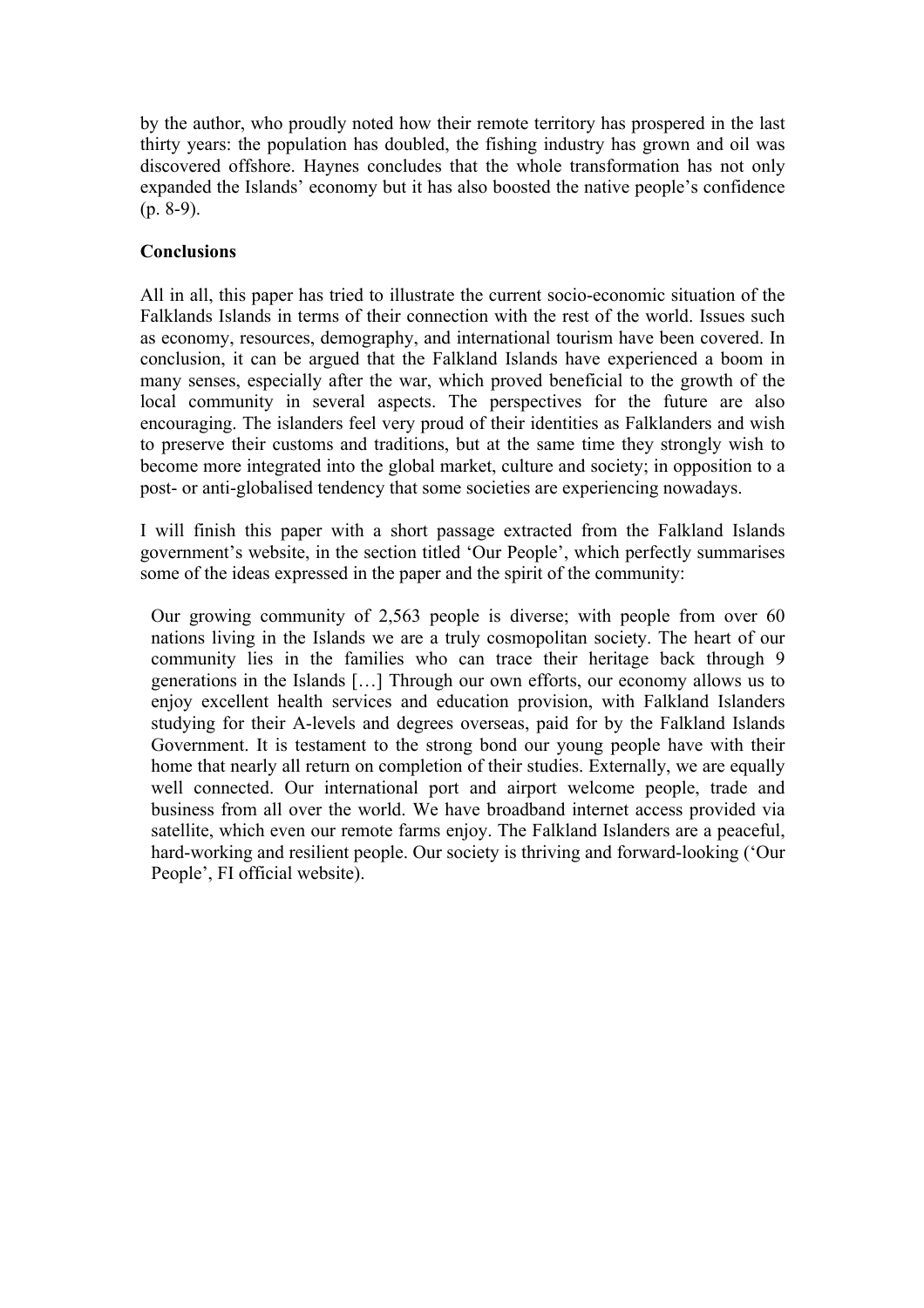by the author, who proudly noted how their remote territory has prospered in the last thirty years: the population has doubled, the fishing industry has grown and oil was discovered offshore. Haynes concludes that the whole transformation has not only expanded the Islands' economy but it has also boosted the native people's confidence  $(p. 8-9)$ .

## **Conclusions**

All in all, this paper has tried to illustrate the current socio-economic situation of the Falklands Islands in terms of their connection with the rest of the world. Issues such as economy, resources, demography, and international tourism have been covered. In conclusion, it can be argued that the Falkland Islands have experienced a boom in many senses, especially after the war, which proved beneficial to the growth of the local community in several aspects. The perspectives for the future are also encouraging. The islanders feel very proud of their identities as Falklanders and wish to preserve their customs and traditions, but at the same time they strongly wish to become more integrated into the global market, culture and society; in opposition to a post- or anti-globalised tendency that some societies are experiencing nowadays.

I will finish this paper with a short passage extracted from the Falkland Islands government's website, in the section titled 'Our People', which perfectly summarises some of the ideas expressed in the paper and the spirit of the community:

Our growing community of 2,563 people is diverse; with people from over 60 nations living in the Islands we are a truly cosmopolitan society. The heart of our community lies in the families who can trace their heritage back through 9 generations in the Islands […] Through our own efforts, our economy allows us to enjoy excellent health services and education provision, with Falkland Islanders studying for their A-levels and degrees overseas, paid for by the Falkland Islands Government. It is testament to the strong bond our young people have with their home that nearly all return on completion of their studies. Externally, we are equally well connected. Our international port and airport welcome people, trade and business from all over the world. We have broadband internet access provided via satellite, which even our remote farms enjoy. The Falkland Islanders are a peaceful, hard-working and resilient people. Our society is thriving and forward-looking ('Our People', FI official website).